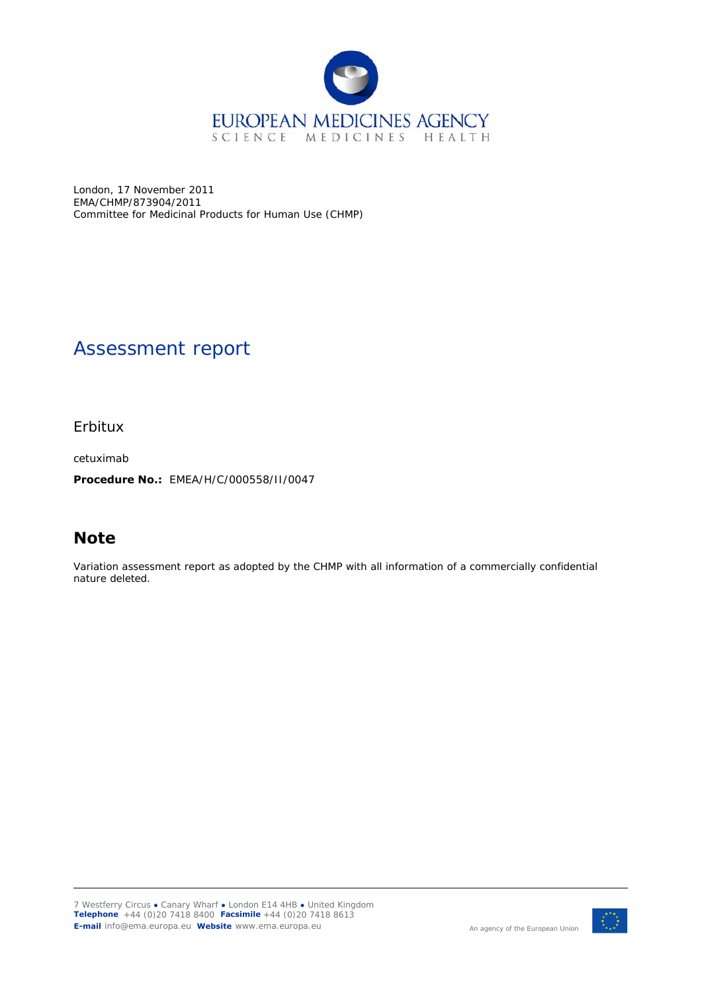

London, 17 November 2011 EMA/CHMP/873904/2011 Committee for Medicinal Products for Human Use (CHMP)

# Assessment report

Erbitux

cetuximab

**Procedure No.:** EMEA/H/C/000558/II/0047

# **Note**

Variation assessment report as adopted by the CHMP with all information of a commercially confidential nature deleted.

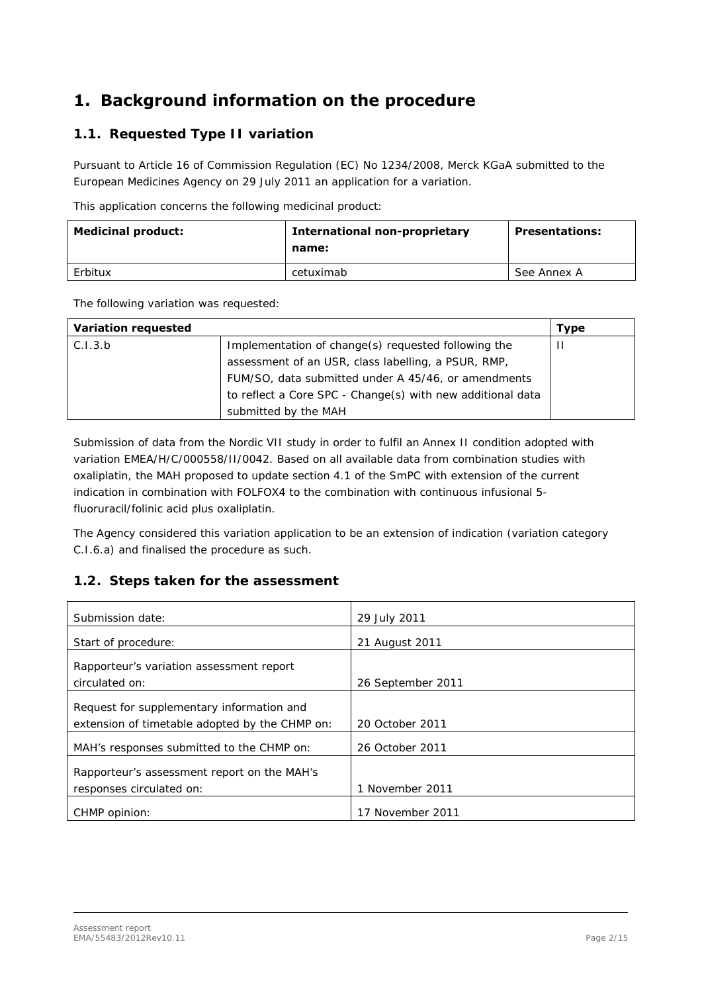# **1. Background information on the procedure**

## *1.1. Requested Type II variation*

Pursuant to Article 16 of Commission Regulation (EC) No 1234/2008, Merck KGaA submitted to the European Medicines Agency on 29 July 2011 an application for a variation.

This application concerns the following medicinal product:

| <b>Medicinal product:</b> | <b>International non-proprietary</b><br>name: | <b>Presentations:</b> |
|---------------------------|-----------------------------------------------|-----------------------|
| Erbitux                   | cetuximab                                     | See Annex A           |

The following variation was requested:

| <b>Variation requested</b> |                                                            | <b>Type</b> |
|----------------------------|------------------------------------------------------------|-------------|
| C.I.3.b                    | Implementation of change(s) requested following the        | Ш           |
|                            | assessment of an USR, class labelling, a PSUR, RMP,        |             |
|                            | FUM/SO, data submitted under A 45/46, or amendments        |             |
|                            | to reflect a Core SPC - Change(s) with new additional data |             |
|                            | submitted by the MAH                                       |             |

Submission of data from the Nordic VII study in order to fulfil an Annex II condition adopted with variation EMEA/H/C/000558/II/0042. Based on all available data from combination studies with oxaliplatin, the MAH proposed to update section 4.1 of the SmPC with extension of the current indication in combination with FOLFOX4 to the combination with continuous infusional 5 fluoruracil/folinic acid plus oxaliplatin.

The Agency considered this variation application to be an extension of indication (variation category C.I.6.a) and finalised the procedure as such.

### *1.2. Steps taken for the assessment*

| Submission date:                               | 29 July 2011      |
|------------------------------------------------|-------------------|
| Start of procedure:                            | 21 August 2011    |
| Rapporteur's variation assessment report       |                   |
| circulated on:                                 | 26 September 2011 |
| Request for supplementary information and      |                   |
| extension of timetable adopted by the CHMP on: | 20 October 2011   |
| MAH's responses submitted to the CHMP on:      | 26 October 2011   |
| Rapporteur's assessment report on the MAH's    |                   |
| responses circulated on:                       | 1 November 2011   |
| CHMP opinion:                                  | 17 November 2011  |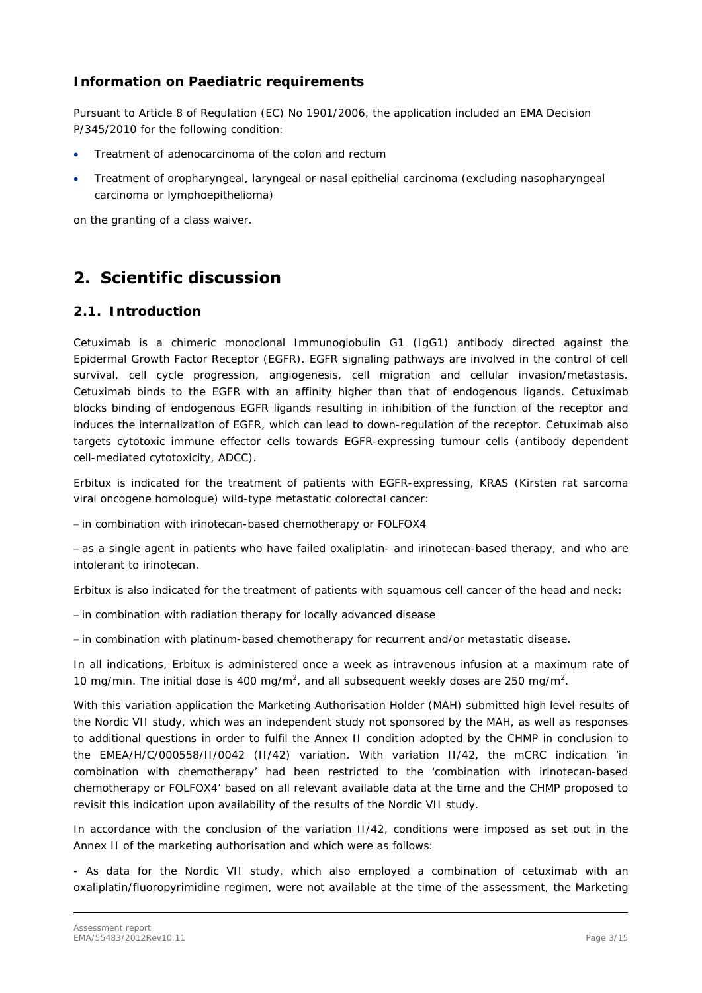#### *Information on Paediatric requirements*

Pursuant to Article 8 of Regulation (EC) No 1901/2006, the application included an EMA Decision P/345/2010 for the following condition:

- Treatment of adenocarcinoma of the colon and rectum
- Treatment of oropharyngeal, laryngeal or nasal epithelial carcinoma (excluding nasopharyngeal carcinoma or lymphoepithelioma)

on the granting of a class waiver.

## **2. Scientific discussion**

#### *2.1. Introduction*

Cetuximab is a chimeric monoclonal Immunoglobulin G1 (IgG1) antibody directed against the Epidermal Growth Factor Receptor (EGFR). EGFR signaling pathways are involved in the control of cell survival, cell cycle progression, angiogenesis, cell migration and cellular invasion/metastasis. Cetuximab binds to the EGFR with an affinity higher than that of endogenous ligands. Cetuximab blocks binding of endogenous EGFR ligands resulting in inhibition of the function of the receptor and induces the internalization of EGFR, which can lead to down-regulation of the receptor. Cetuximab also targets cytotoxic immune effector cells towards EGFR-expressing tumour cells (antibody dependent cell-mediated cytotoxicity, ADCC).

Erbitux is indicated for the treatment of patients with EGFR-expressing, KRAS (Kirsten rat sarcoma viral oncogene homologue) wild-type metastatic colorectal cancer:

- in combination with irinotecan-based chemotherapy or FOLFOX4

- as a single agent in patients who have failed oxaliplatin- and irinotecan-based therapy, and who are intolerant to irinotecan.

Erbitux is also indicated for the treatment of patients with squamous cell cancer of the head and neck:

- in combination with radiation therapy for locally advanced disease

- in combination with platinum-based chemotherapy for recurrent and/or metastatic disease.

In all indications, Erbitux is administered once a week as intravenous infusion at a maximum rate of 10 mg/min. The initial dose is 400 mg/m<sup>2</sup>, and all subsequent weekly doses are 250 mg/m<sup>2</sup>.

With this variation application the Marketing Authorisation Holder (MAH) submitted high level results of the Nordic VII study, which was an independent study not sponsored by the MAH, as well as responses to additional questions in order to fulfil the Annex II condition adopted by the CHMP in conclusion to the EMEA/H/C/000558/II/0042 (II/42) variation. With variation II/42, the mCRC indication 'in combination with chemotherapy' had been restricted to the 'combination with irinotecan-based chemotherapy or FOLFOX4' based on all relevant available data at the time and the CHMP proposed to revisit this indication upon availability of the results of the Nordic VII study.

In accordance with the conclusion of the variation II/42, conditions were imposed as set out in the Annex II of the marketing authorisation and which were as follows:

- As data for the Nordic VII study, which also employed a combination of cetuximab with an oxaliplatin/fluoropyrimidine regimen, were not available at the time of the assessment, the Marketing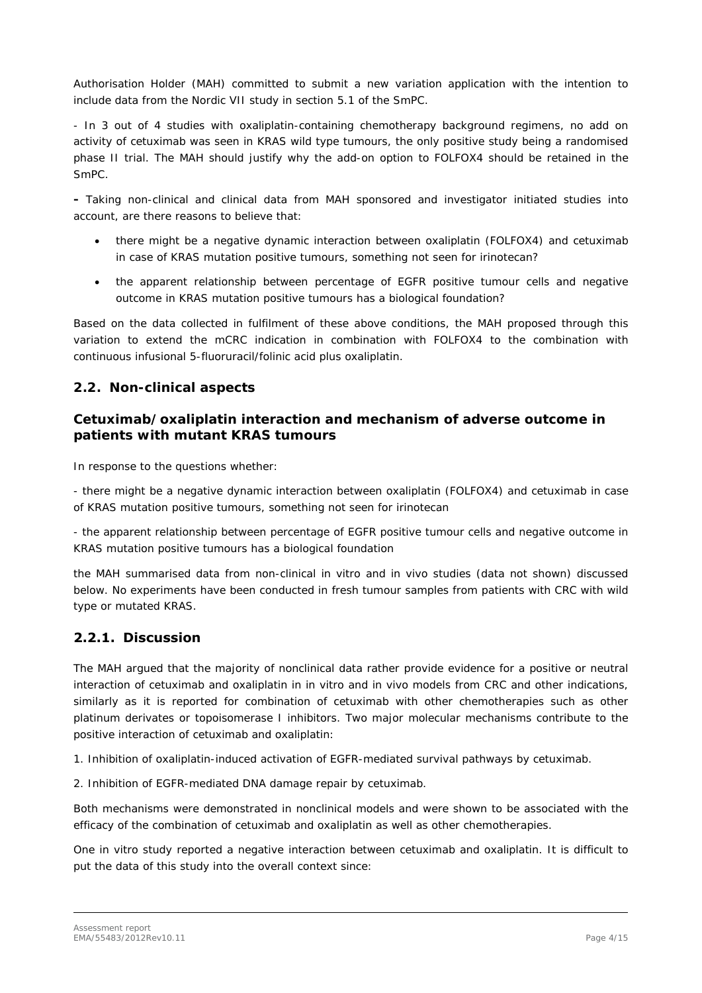Authorisation Holder (MAH) committed to submit a new variation application with the intention to include data from the Nordic VII study in section 5.1 of the SmPC.

- In 3 out of 4 studies with oxaliplatin-containing chemotherapy background regimens, no add on activity of cetuximab was seen in KRAS wild type tumours, the only positive study being a randomised phase II trial. The MAH should justify why the add-on option to FOLFOX4 should be retained in the SmPC.

**-** Taking non-clinical and clinical data from MAH sponsored and investigator initiated studies into account, are there reasons to believe that:

- there might be a negative dynamic interaction between oxaliplatin (FOLFOX4) and cetuximab in case of KRAS mutation positive tumours, something not seen for irinotecan?
- the apparent relationship between percentage of EGFR positive tumour cells and negative outcome in KRAS mutation positive tumours has a biological foundation?

Based on the data collected in fulfilment of these above conditions, the MAH proposed through this variation to extend the mCRC indication in combination with FOLFOX4 to the combination with continuous infusional 5-fluoruracil/folinic acid plus oxaliplatin.

#### *2.2. Non-clinical aspects*

#### *Cetuximab/oxaliplatin interaction and mechanism of adverse outcome in patients with mutant KRAS tumours*

In response to the questions whether:

- there might be a negative dynamic interaction between oxaliplatin (FOLFOX4) and cetuximab in case of KRAS mutation positive tumours, something not seen for irinotecan

- the apparent relationship between percentage of EGFR positive tumour cells and negative outcome in KRAS mutation positive tumours has a biological foundation

the MAH summarised data from non-clinical *in vitro* and *in vivo* studies (data not shown) discussed below. No experiments have been conducted in fresh tumour samples from patients with CRC with wild type or mutated KRAS.

### **2.2.1. Discussion**

The MAH argued that the majority of nonclinical data rather provide evidence for a positive or neutral interaction of cetuximab and oxaliplatin in *in vitro* and *in vivo* models from CRC and other indications, similarly as it is reported for combination of cetuximab with other chemotherapies such as other platinum derivates or topoisomerase I inhibitors. Two major molecular mechanisms contribute to the positive interaction of cetuximab and oxaliplatin:

1. Inhibition of oxaliplatin-induced activation of EGFR-mediated survival pathways by cetuximab.

2. Inhibition of EGFR-mediated DNA damage repair by cetuximab.

Both mechanisms were demonstrated in nonclinical models and were shown to be associated with the efficacy of the combination of cetuximab and oxaliplatin as well as other chemotherapies.

One in vitro study reported a negative interaction between cetuximab and oxaliplatin. It is difficult to put the data of this study into the overall context since: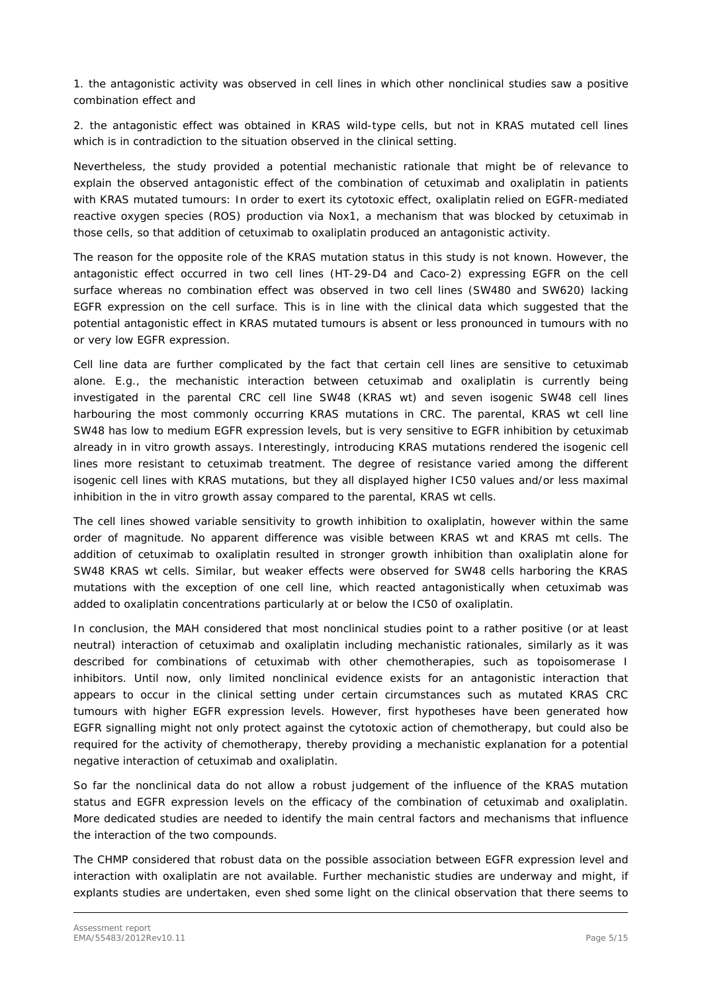1. the antagonistic activity was observed in cell lines in which other nonclinical studies saw a positive combination effect and

2. the antagonistic effect was obtained in KRAS wild-type cells, but not in KRAS mutated cell lines which is in contradiction to the situation observed in the clinical setting.

Nevertheless, the study provided a potential mechanistic rationale that might be of relevance to explain the observed antagonistic effect of the combination of cetuximab and oxaliplatin in patients with KRAS mutated tumours: In order to exert its cytotoxic effect, oxaliplatin relied on EGFR-mediated reactive oxygen species (ROS) production via Nox1, a mechanism that was blocked by cetuximab in those cells, so that addition of cetuximab to oxaliplatin produced an antagonistic activity.

The reason for the opposite role of the KRAS mutation status in this study is not known. However, the antagonistic effect occurred in two cell lines (HT-29-D4 and Caco-2) expressing EGFR on the cell surface whereas no combination effect was observed in two cell lines (SW480 and SW620) lacking EGFR expression on the cell surface. This is in line with the clinical data which suggested that the potential antagonistic effect in KRAS mutated tumours is absent or less pronounced in tumours with no or very low EGFR expression.

Cell line data are further complicated by the fact that certain cell lines are sensitive to cetuximab alone. E.g., the mechanistic interaction between cetuximab and oxaliplatin is currently being investigated in the parental CRC cell line SW48 (KRAS wt) and seven isogenic SW48 cell lines harbouring the most commonly occurring KRAS mutations in CRC. The parental, KRAS wt cell line SW48 has low to medium EGFR expression levels, but is very sensitive to EGFR inhibition by cetuximab already in *in vitro* growth assays. Interestingly, introducing KRAS mutations rendered the isogenic cell lines more resistant to cetuximab treatment. The degree of resistance varied among the different isogenic cell lines with KRAS mutations, but they all displayed higher IC50 values and/or less maximal inhibition in the *in vitro* growth assay compared to the parental, KRAS wt cells.

The cell lines showed variable sensitivity to growth inhibition to oxaliplatin, however within the same order of magnitude. No apparent difference was visible between KRAS wt and KRAS mt cells. The addition of cetuximab to oxaliplatin resulted in stronger growth inhibition than oxaliplatin alone for SW48 KRAS wt cells. Similar, but weaker effects were observed for SW48 cells harboring the KRAS mutations with the exception of one cell line, which reacted antagonistically when cetuximab was added to oxaliplatin concentrations particularly at or below the IC50 of oxaliplatin.

In conclusion, the MAH considered that most nonclinical studies point to a rather positive (or at least neutral) interaction of cetuximab and oxaliplatin including mechanistic rationales, similarly as it was described for combinations of cetuximab with other chemotherapies, such as topoisomerase I inhibitors. Until now, only limited nonclinical evidence exists for an antagonistic interaction that appears to occur in the clinical setting under certain circumstances such as mutated KRAS CRC tumours with higher EGFR expression levels. However, first hypotheses have been generated how EGFR signalling might not only protect against the cytotoxic action of chemotherapy, but could also be required for the activity of chemotherapy, thereby providing a mechanistic explanation for a potential negative interaction of cetuximab and oxaliplatin.

So far the nonclinical data do not allow a robust judgement of the influence of the KRAS mutation status and EGFR expression levels on the efficacy of the combination of cetuximab and oxaliplatin. More dedicated studies are needed to identify the main central factors and mechanisms that influence the interaction of the two compounds.

The CHMP considered that robust data on the possible association between EGFR expression level and interaction with oxaliplatin are not available. Further mechanistic studies are underway and might, if explants studies are undertaken, even shed some light on the clinical observation that there seems to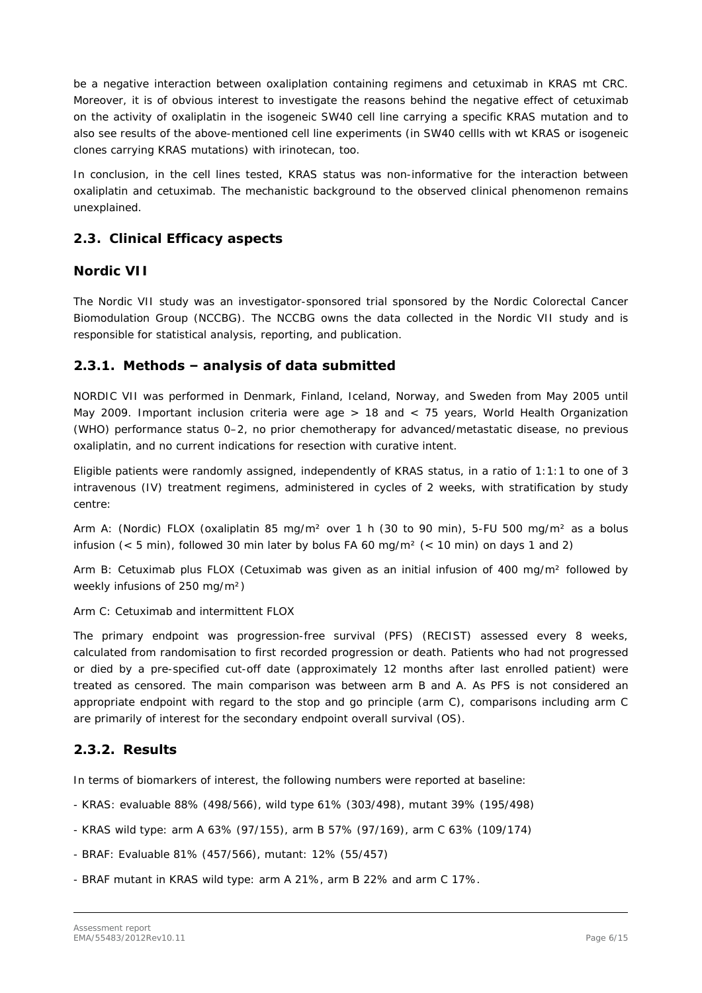be a negative interaction between oxaliplation containing regimens and cetuximab in KRAS mt CRC. Moreover, it is of obvious interest to investigate the reasons behind the negative effect of cetuximab on the activity of oxaliplatin in the isogeneic SW40 cell line carrying a specific KRAS mutation and to also see results of the above-mentioned cell line experiments (in SW40 cellls with wt KRAS or isogeneic clones carrying KRAS mutations) with irinotecan, too.

In conclusion, in the cell lines tested, KRAS status was non-informative for the interaction between oxaliplatin and cetuximab. The mechanistic background to the observed clinical phenomenon remains unexplained.

## *2.3. Clinical Efficacy aspects*

#### *Nordic VII*

The Nordic VII study was an investigator-sponsored trial sponsored by the Nordic Colorectal Cancer Biomodulation Group (NCCBG). The NCCBG owns the data collected in the Nordic VII study and is responsible for statistical analysis, reporting, and publication.

### **2.3.1. Methods – analysis of data submitted**

NORDIC VII was performed in Denmark, Finland, Iceland, Norway, and Sweden from May 2005 until May 2009. Important inclusion criteria were age > 18 and < 75 years, World Health Organization (WHO) performance status 0–2, no prior chemotherapy for advanced/metastatic disease, no previous oxaliplatin, and no current indications for resection with curative intent.

Eligible patients were randomly assigned, independently of KRAS status, in a ratio of 1:1:1 to one of 3 intravenous (IV) treatment regimens, administered in cycles of 2 weeks, with stratification by study centre:

Arm A: (Nordic) FLOX (oxaliplatin 85 mg/m² over 1 h (30 to 90 min), 5-FU 500 mg/m² as a bolus infusion ( $<$  5 min), followed 30 min later by bolus FA 60 mg/m<sup>2</sup> ( $<$  10 min) on days 1 and 2)

Arm B: Cetuximab plus FLOX (Cetuximab was given as an initial infusion of 400 mg/m² followed by weekly infusions of 250 mg/m²)

Arm C: Cetuximab and intermittent FLOX

The primary endpoint was progression-free survival (PFS) (RECIST) assessed every 8 weeks, calculated from randomisation to first recorded progression or death. Patients who had not progressed or died by a pre-specified cut-off date (approximately 12 months after last enrolled patient) were treated as censored. The main comparison was between arm B and A. As PFS is not considered an appropriate endpoint with regard to the stop and go principle (arm C), comparisons including arm C are primarily of interest for the secondary endpoint overall survival (OS).

### **2.3.2. Results**

In terms of biomarkers of interest, the following numbers were reported at baseline:

- KRAS: evaluable 88% (498/566), wild type 61% (303/498), mutant 39% (195/498)
- KRAS wild type: arm A 63% (97/155), arm B 57% (97/169), arm C 63% (109/174)
- BRAF: Evaluable 81% (457/566), mutant: 12% (55/457)
- BRAF mutant in KRAS wild type: arm A 21%, arm B 22% and arm C 17%.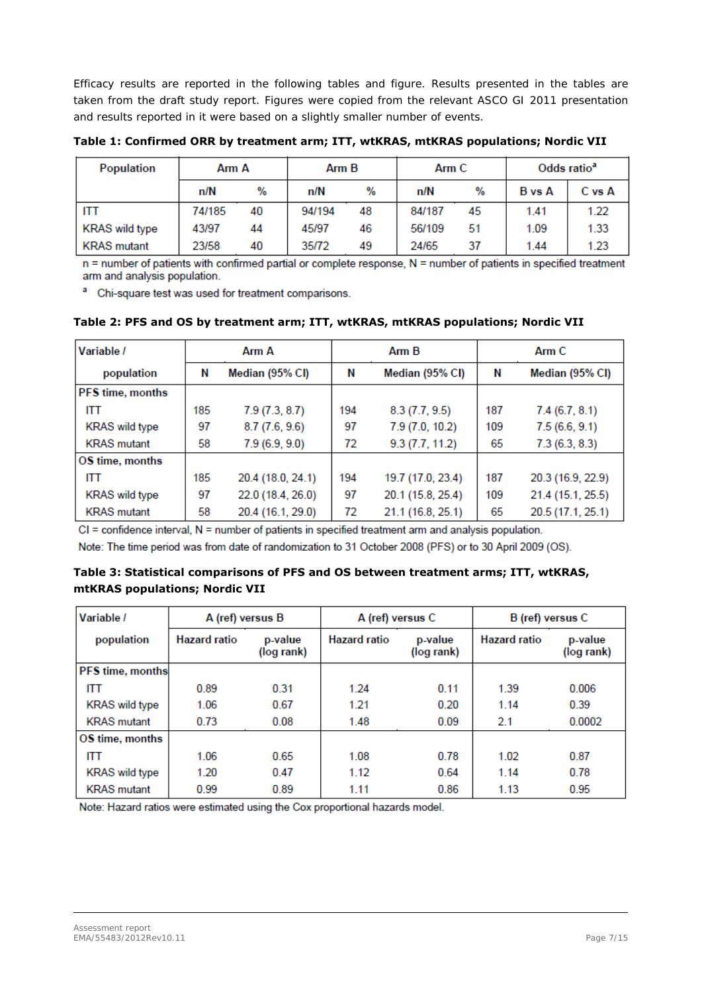Efficacy results are reported in the following tables and figure. Results presented in the tables are taken from the draft study report. Figures were copied from the relevant ASCO GI 2011 presentation and results reported in it were based on a slightly smaller number of events.

**Table 1: Confirmed ORR by treatment arm; ITT, wtKRAS, mtKRAS populations; Nordic VII** 

| Population            | Arm A  |    | Arm B  |    | Arm C  |    | Odds ratio <sup>a</sup> |        |
|-----------------------|--------|----|--------|----|--------|----|-------------------------|--------|
|                       | n/N    | %  | n/N    | %  | n/N    | %  | <b>B</b> vs A           | C vs A |
| <b>ITT</b>            | 74/185 | 40 | 94/194 | 48 | 84/187 | 45 | 1.41                    | 1.22   |
| <b>KRAS</b> wild type | 43/97  | 44 | 45/97  | 46 | 56/109 | 51 | 1.09                    | 1.33   |
| <b>KRAS</b> mutant    | 23/58  | 40 | 35/72  | 49 | 24/65  | 37 | 1.44                    | 1.23   |

n = number of patients with confirmed partial or complete response, N = number of patients in specified treatment arm and analysis population.

<sup>a</sup> Chi-square test was used for treatment comparisons.

| Variable /              |     | Arm A             | $A$ rm $B$<br>Arm C |                   |     |                   |
|-------------------------|-----|-------------------|---------------------|-------------------|-----|-------------------|
| population              | Ν   | Median (95% CI)   | Ν                   | Median (95% CI)   | N   | Median (95% CI)   |
| <b>PFS</b> time, months |     |                   |                     |                   |     |                   |
| ITT                     | 185 | 7.9(7.3, 8.7)     | 194                 | 8.3(7.7, 9.5)     | 187 | 7.4(6.7, 8.1)     |
| <b>KRAS</b> wild type   | 97  | 8.7(7.6, 9.6)     | 97                  | 7.9(7.0, 10.2)    | 109 | 7.5(6.6, 9.1)     |
| <b>KRAS</b> mutant      | 58  | 7.9(6.9, 9.0)     | 72                  | 9.3(7.7, 11.2)    | 65  | 7.3(6.3, 8.3)     |
| OS time, months         |     |                   |                     |                   |     |                   |
| <b>ITT</b>              | 185 | 20.4 (18.0, 24.1) | 194                 | 19.7 (17.0, 23.4) | 187 | 20.3 (16.9, 22.9) |
| <b>KRAS</b> wild type   | 97  | 22.0 (18.4, 26.0) | 97                  | 20.1 (15.8, 25.4) | 109 | 21.4 (15.1, 25.5) |
| <b>KRAS</b> mutant      | 58  | 20.4 (16.1, 29.0) | 72                  | 21.1 (16.8, 25.1) | 65  | 20.5 (17.1, 25.1) |

**Table 2: PFS and OS by treatment arm; ITT, wtKRAS, mtKRAS populations; Nordic VII** 

 $CI =$  confidence interval,  $N =$  number of patients in specified treatment arm and analysis population.

Note: The time period was from date of randomization to 31 October 2008 (PFS) or to 30 April 2009 (OS).

#### **Table 3: Statistical comparisons of PFS and OS between treatment arms; ITT, wtKRAS, mtKRAS populations; Nordic VII**

| Variable /              | A (ref) versus B    |                       | A (ref) versus C    |                       | B (ref) versus C    |                       |
|-------------------------|---------------------|-----------------------|---------------------|-----------------------|---------------------|-----------------------|
| population              | <b>Hazard</b> ratio | p-value<br>(log rank) | <b>Hazard ratio</b> | p-value<br>(log rank) | <b>Hazard ratio</b> | p-value<br>(log rank) |
| <b>PFS time, months</b> |                     |                       |                     |                       |                     |                       |
| ITT                     | 0.89                | 0.31                  | 1.24                | 0.11                  | 1.39                | 0.006                 |
| <b>KRAS</b> wild type   | 1.06                | 0.67                  | 1.21                | 0.20                  | 1.14                | 0.39                  |
| <b>KRAS</b> mutant      | 0.73                | 0.08                  | 1.48                | 0.09                  | 2.1                 | 0.0002                |
| OS time, months         |                     |                       |                     |                       |                     |                       |
| ITT                     | 1.06                | 0.65                  | 1.08                | 0.78                  | 1.02                | 0.87                  |
| <b>KRAS</b> wild type   | 1.20                | 0.47                  | 1.12                | 0.64                  | 1.14                | 0.78                  |
| <b>KRAS</b> mutant      | 0.99                | 0.89                  | 1.11                | 0.86                  | 1.13                | 0.95                  |

Note: Hazard ratios were estimated using the Cox proportional hazards model.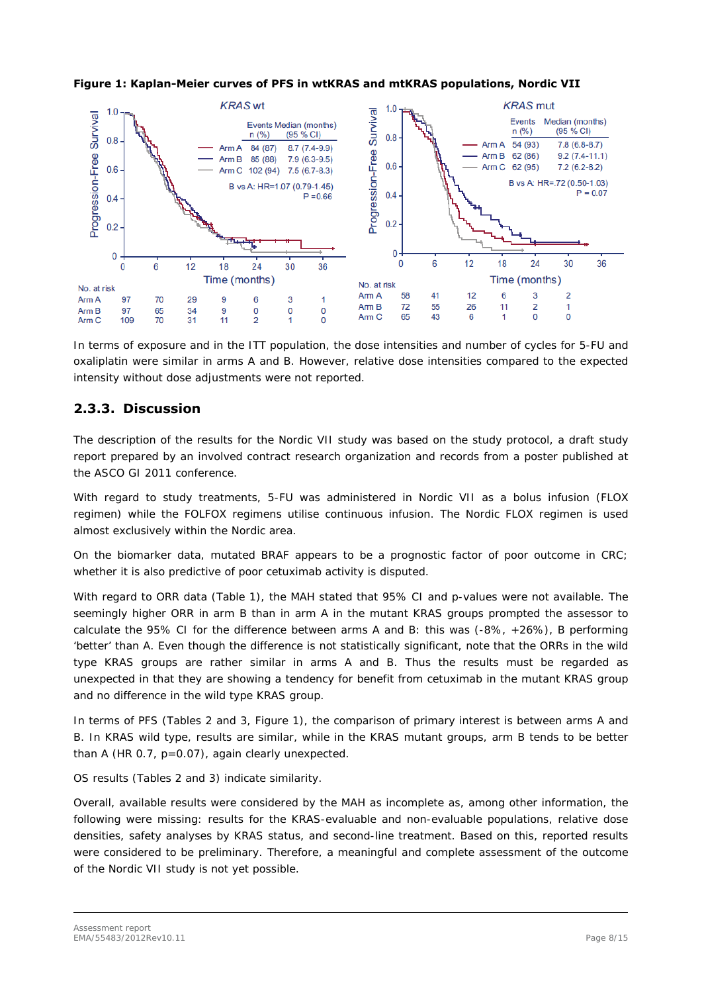

**Figure 1: Kaplan-Meier curves of PFS in wtKRAS and mtKRAS populations, Nordic VII** 

In terms of exposure and in the ITT population, the dose intensities and number of cycles for 5-FU and oxaliplatin were similar in arms A and B. However, relative dose intensities compared to the expected intensity without dose adjustments were not reported.

## **2.3.3. Discussion**

The description of the results for the Nordic VII study was based on the study protocol, a draft study report prepared by an involved contract research organization and records from a poster published at the ASCO GI 2011 conference.

With regard to study treatments, 5-FU was administered in Nordic VII as a bolus infusion (FLOX regimen) while the FOLFOX regimens utilise continuous infusion. The Nordic FLOX regimen is used almost exclusively within the Nordic area.

On the biomarker data, mutated BRAF appears to be a prognostic factor of poor outcome in CRC; whether it is also predictive of poor cetuximab activity is disputed.

With regard to ORR data (Table 1), the MAH stated that 95% CI and p-values were not available. The seemingly higher ORR in arm B than in arm A in the mutant KRAS groups prompted the assessor to calculate the 95% CI for the difference between arms A and B: this was (-8%, +26%), B performing 'better' than A. Even though the difference is not statistically significant, note that the ORRs in the wild type KRAS groups are rather similar in arms A and B. Thus the results must be regarded as unexpected in that they are showing a tendency for benefit from cetuximab in the mutant KRAS group and no difference in the wild type KRAS group.

In terms of PFS (Tables 2 and 3, Figure 1), the comparison of primary interest is between arms A and B. In KRAS wild type, results are similar, while in the KRAS mutant groups, arm B tends to be better than A (HR 0.7, p=0.07), again clearly unexpected.

OS results (Tables 2 and 3) indicate similarity.

Overall, available results were considered by the MAH as incomplete as, among other information, the following were missing: results for the KRAS-evaluable and non-evaluable populations, relative dose densities, safety analyses by KRAS status, and second-line treatment. Based on this, reported results were considered to be preliminary. Therefore, a meaningful and complete assessment of the outcome of the Nordic VII study is not yet possible.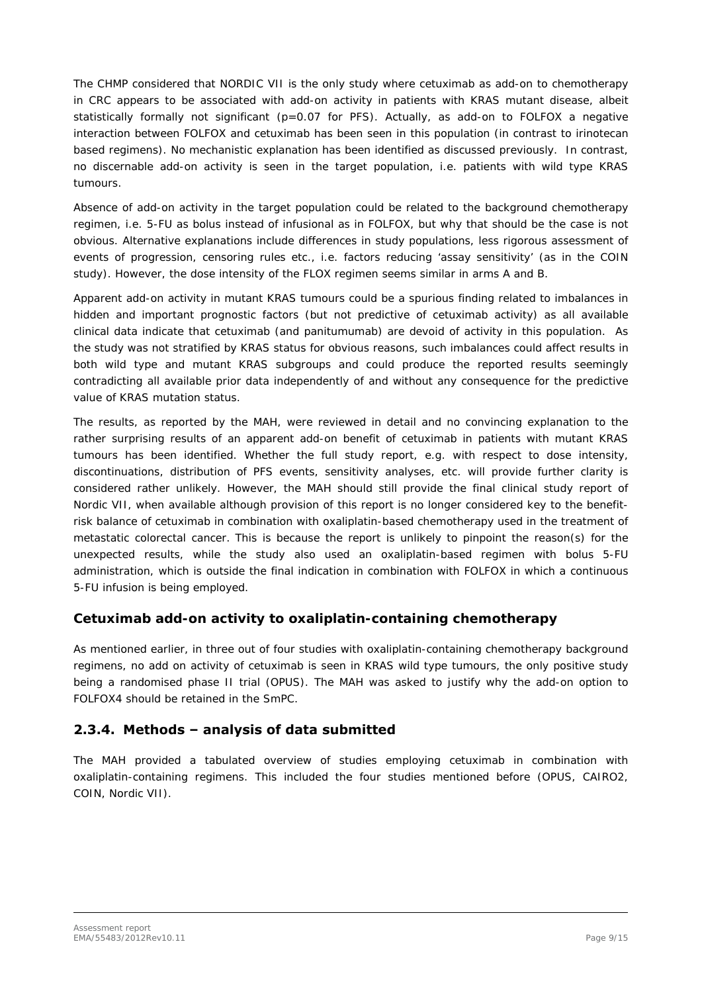The CHMP considered that NORDIC VII is the only study where cetuximab as add-on to chemotherapy in CRC appears to be associated with add-on activity in patients with KRAS mutant disease, albeit statistically formally not significant ( $p=0.07$  for PFS). Actually, as add-on to FOLFOX a negative interaction between FOLFOX and cetuximab has been seen in this population (in contrast to irinotecan based regimens). No mechanistic explanation has been identified as discussed previously. In contrast, no discernable add-on activity is seen in the target population, i.e. patients with wild type KRAS tumours.

Absence of add-on activity in the target population could be related to the background chemotherapy regimen, i.e. 5-FU as bolus instead of infusional as in FOLFOX, but why that should be the case is not obvious. Alternative explanations include differences in study populations, less rigorous assessment of events of progression, censoring rules etc., i.e. factors reducing 'assay sensitivity' (as in the COIN study). However, the dose intensity of the FLOX regimen seems similar in arms A and B.

Apparent add-on activity in mutant KRAS tumours could be a spurious finding related to imbalances in hidden and important prognostic factors (but not predictive of cetuximab activity) as all available clinical data indicate that cetuximab (and panitumumab) are devoid of activity in this population. As the study was not stratified by KRAS status for obvious reasons, such imbalances could affect results in both wild type and mutant KRAS subgroups and could produce the reported results seemingly contradicting all available prior data independently of and without any consequence for the predictive value of KRAS mutation status.

The results, as reported by the MAH, were reviewed in detail and no convincing explanation to the rather surprising results of an apparent add-on benefit of cetuximab in patients with mutant KRAS tumours has been identified. Whether the full study report, e.g. with respect to dose intensity, discontinuations, distribution of PFS events, sensitivity analyses, etc. will provide further clarity is considered rather unlikely. However, the MAH should still provide the final clinical study report of Nordic VII, when available although provision of this report is no longer considered key to the benefitrisk balance of cetuximab in combination with oxaliplatin-based chemotherapy used in the treatment of metastatic colorectal cancer. This is because the report is unlikely to pinpoint the reason(s) for the unexpected results, while the study also used an oxaliplatin-based regimen with bolus 5-FU administration, which is outside the final indication in combination with FOLFOX in which a continuous 5-FU infusion is being employed.

### *Cetuximab add-on activity to oxaliplatin-containing chemotherapy*

As mentioned earlier, in three out of four studies with oxaliplatin-containing chemotherapy background regimens, no add on activity of cetuximab is seen in KRAS wild type tumours, the only positive study being a randomised phase II trial (OPUS). The MAH was asked to justify why the add-on option to FOLFOX4 should be retained in the SmPC.

## **2.3.4. Methods – analysis of data submitted**

The MAH provided a tabulated overview of studies employing cetuximab in combination with oxaliplatin-containing regimens. This included the four studies mentioned before (OPUS, CAIRO2, COIN, Nordic VII).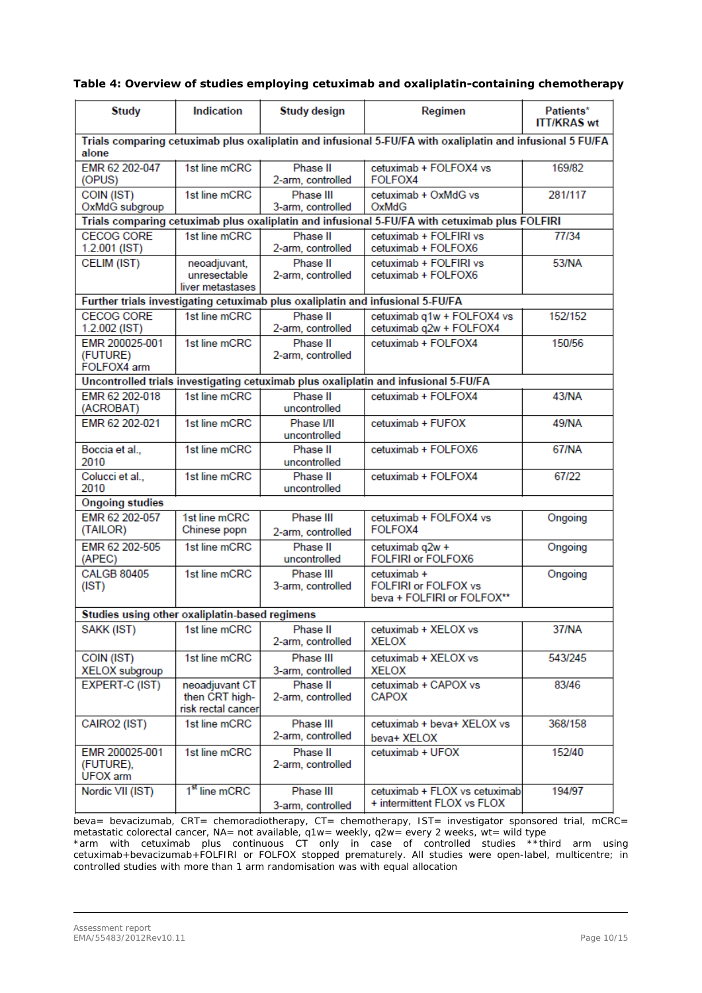#### **Table 4: Overview of studies employing cetuximab and oxaliplatin-containing chemotherapy**

| <b>Study</b>                                   | Indication                                                                                                 | <b>Study design</b>                                                            | Regimen                                                                                        | Patients*<br><b>ITT/KRAS wt</b> |  |  |  |  |  |
|------------------------------------------------|------------------------------------------------------------------------------------------------------------|--------------------------------------------------------------------------------|------------------------------------------------------------------------------------------------|---------------------------------|--|--|--|--|--|
| alone                                          | Trials comparing cetuximab plus oxaliplatin and infusional 5-FU/FA with oxaliplatin and infusional 5 FU/FA |                                                                                |                                                                                                |                                 |  |  |  |  |  |
| EMR 62 202-047<br>(OPUS)                       | 1st line mCRC                                                                                              | Phase II<br>2-arm, controlled                                                  | cetuximab + FOLFOX4 vs<br>FOLFOX4                                                              | 169/82                          |  |  |  |  |  |
| COIN (IST)<br>OxMdG subgroup                   | 1st line mCRC                                                                                              | Phase III<br>3-arm, controlled                                                 | cetuximab + OxMdG vs<br>OxMdG                                                                  | 281/117                         |  |  |  |  |  |
|                                                |                                                                                                            |                                                                                | Trials comparing cetuximab plus oxaliplatin and infusional 5-FU/FA with cetuximab plus FOLFIRI |                                 |  |  |  |  |  |
| <b>CECOG CORE</b><br>$1.2.001$ (IST)           | 1st line mCRC                                                                                              | Phase II<br>2-arm, controlled                                                  | cetuximab + FOLFIRI vs<br>cetuximab + FOLFOX6                                                  | 77/34                           |  |  |  |  |  |
| CELIM (IST)                                    | neoadjuvant,<br>unresectable<br>liver metastases                                                           | Phase II<br>2-arm, controlled                                                  | cetuximab + FOLFIRI vs<br>cetuximab + FOLFOX6                                                  | 53/NA                           |  |  |  |  |  |
|                                                |                                                                                                            | Further trials investigating cetuximab plus oxaliplatin and infusional 5-FU/FA |                                                                                                |                                 |  |  |  |  |  |
| <b>CECOG CORE</b><br>1.2.002 (IST)             | 1st line mCRC                                                                                              | Phase II<br>2-arm, controlled                                                  | cetuximab q1w + FOLFOX4 vs<br>cetuximab q2w + FOLFOX4                                          | 152/152                         |  |  |  |  |  |
| EMR 200025-001<br>(FUTURE)<br>FOLFOX4 arm      | 1st line mCRC                                                                                              | Phase II<br>2-arm, controlled                                                  | cetuximab + FOLFOX4                                                                            | 150/56                          |  |  |  |  |  |
|                                                |                                                                                                            |                                                                                | Uncontrolled trials investigating cetuximab plus oxaliplatin and infusional 5-FU/FA            |                                 |  |  |  |  |  |
| EMR 62 202-018<br>(ACROBAT)                    | 1st line mCRC                                                                                              | Phase II<br>uncontrolled                                                       | cetuximab + FOLFOX4                                                                            | <b>43/NA</b>                    |  |  |  |  |  |
| EMR 62 202-021                                 | 1st line mCRC                                                                                              | Phase I/II<br>uncontrolled                                                     | cetuximab + FUFOX                                                                              | 49/NA                           |  |  |  |  |  |
| Boccia et al.,<br>2010                         | 1st line mCRC                                                                                              | Phase II<br>uncontrolled                                                       | cetuximab + FOLFOX6                                                                            | <b>67/NA</b>                    |  |  |  |  |  |
| Colucci et al.,<br>2010                        | 1st line mCRC                                                                                              | Phase II<br>uncontrolled                                                       | cetuximab + FOLFOX4                                                                            | 67/22                           |  |  |  |  |  |
| <b>Ongoing studies</b>                         |                                                                                                            |                                                                                |                                                                                                |                                 |  |  |  |  |  |
| EMR 62 202-057<br>(TAILOR)                     | 1st line mCRC<br>Chinese popn                                                                              | Phase III<br>2-arm, controlled                                                 | cetuximab + FOLFOX4 vs<br>FOLFOX4                                                              | Ongoing                         |  |  |  |  |  |
| EMR 62 202-505<br>(APEC)                       | 1st line mCRC                                                                                              | Phase II<br>uncontrolled                                                       | cetuximab q2w +<br><b>FOLFIRI or FOLFOX6</b>                                                   | Ongoing                         |  |  |  |  |  |
| <b>CALGB 80405</b><br>(IST)                    | 1st line mCRC                                                                                              | Phase III<br>3-arm, controlled                                                 | cetuximab +<br><b>FOLFIRI or FOLFOX vs</b><br>beva + FOLFIRI or FOLFOX**                       | Ongoing                         |  |  |  |  |  |
| Studies using other oxaliplatin-based regimens |                                                                                                            |                                                                                |                                                                                                |                                 |  |  |  |  |  |
| SAKK (IST)                                     | 1st line mCRC                                                                                              | Phase II<br>2-arm, controlled                                                  | cetuximab + XELOX vs<br><b>XELOX</b>                                                           | 37/NA                           |  |  |  |  |  |
| COIN (IST)<br>XELOX subgroup                   | 1st line mCRC                                                                                              | Phase III<br>3-arm, controlled                                                 | cetuximab + XELOX vs<br><b>XELOX</b>                                                           | 543/245                         |  |  |  |  |  |
| <b>EXPERT-C (IST)</b>                          | neoadjuvant CT<br>then CRT high-<br>risk rectal cancer                                                     | Phase II<br>2-arm, controlled                                                  | cetuximab + CAPOX vs<br><b>CAPOX</b>                                                           | 83/46                           |  |  |  |  |  |
| CAIRO2 (IST)                                   | 1st line mCRC                                                                                              | Phase III<br>2-arm, controlled                                                 | cetuximab + beva+ XELOX vs<br>beva+ XELOX                                                      | 368/158                         |  |  |  |  |  |
| EMR 200025-001<br>(FUTURE),<br>UFOX arm        | 1st line mCRC                                                                                              | Phase II<br>2-arm, controlled                                                  | cetuximab + UFOX                                                                               | 152/40                          |  |  |  |  |  |
| Nordic VII (IST)                               | 1 <sup>st</sup> line mCRC                                                                                  | Phase III<br>3-arm, controlled                                                 | cetuximab + FLOX vs cetuximab<br>+ intermittent FLOX vs FLOX                                   | 194/97                          |  |  |  |  |  |

beva= bevacizumab, CRT= chemoradiotherapy, CT= chemotherapy, IST= investigator sponsored trial, mCRC= metastatic colorectal cancer, NA= not available, q1w= weekly, q2w= every 2 weeks, wt= wild type

\*arm with cetuximab plus continuous CT only in case of controlled studies \*\*third arm using cetuximab+bevacizumab+FOLFIRI or FOLFOX stopped prematurely. All studies were open-label, multicentre; in controlled studies with more than 1 arm randomisation was with equal allocation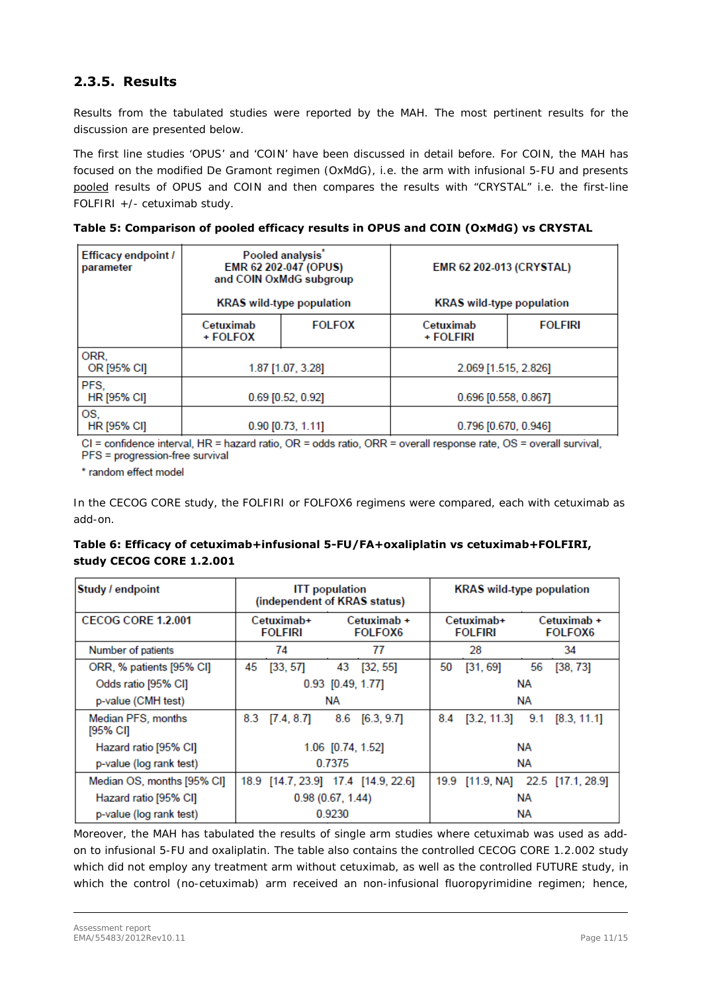## **2.3.5. Results**

Results from the tabulated studies were reported by the MAH. The most pertinent results for the discussion are presented below.

The first line studies 'OPUS' and 'COIN' have been discussed in detail before. For COIN, the MAH has focused on the modified De Gramont regimen (OxMdG), i.e. the arm with infusional 5-FU and presents pooled results of OPUS and COIN and then compares the results with "CRYSTAL" i.e. the first-line FOLFIRI +/- cetuximab study.

|  | Table 5: Comparison of pooled efficacy results in OPUS and COIN (OxMdG) vs CRYSTAL |  |
|--|------------------------------------------------------------------------------------|--|
|--|------------------------------------------------------------------------------------|--|

| <b>Efficacy endpoint /</b><br>parameter | Pooled analysis'<br>EMR 62 202-047 (OPUS)<br>and COIN OxMdG subgroup<br><b>KRAS</b> wild-type population |                     | EMR 62 202-013 (CRYSTAL)<br><b>KRAS</b> wild-type population |                |  |
|-----------------------------------------|----------------------------------------------------------------------------------------------------------|---------------------|--------------------------------------------------------------|----------------|--|
|                                         | Cetuximab<br>+ FOLFOX                                                                                    | <b>FOLFOX</b>       | Cetuximab<br>+ FOLFIRI                                       | <b>FOLFIRI</b> |  |
| ORR.<br>OR [95% CI]                     |                                                                                                          | 1.87 [1.07, 3.28]   | 2.069 [1.515, 2.826]                                         |                |  |
| PFS.<br>HR [95% CI]                     | $0.69$ [0.52, 0.92]                                                                                      |                     | 0.696 [0.558, 0.867]                                         |                |  |
| OS,<br><b>HR [95% CI]</b>               |                                                                                                          | $0.90$ [0.73, 1.11] | 0.796 [0.670, 0.946]                                         |                |  |

CI = confidence interval, HR = hazard ratio, OR = odds ratio, ORR = overall response rate, OS = overall survival, PFS = progression-free survival

\* random effect model

In the CECOG CORE study, the FOLFIRI or FOLFOX6 regimens were compared, each with cetuximab as add-on.

#### **Table 6: Efficacy of cetuximab+infusional 5-FU/FA+oxaliplatin vs cetuximab+FOLFIRI, study CECOG CORE 1.2.001**

| Study / endpoint               | <b>ITT</b> population<br>(independent of KRAS status) |            |        | <b>KRAS</b> wild-type population    |                              |             |     |                                   |
|--------------------------------|-------------------------------------------------------|------------|--------|-------------------------------------|------------------------------|-------------|-----|-----------------------------------|
| <b>CECOG CORE 1.2.001</b>      | Cetuximab+<br><b>FOLFIRI</b>                          |            |        | Cetuximab +<br><b>FOLFOX6</b>       | Cetuximab+<br><b>FOLFIRI</b> |             |     | Cetuximab +<br><b>FOLFOX6</b>     |
| Number of patients             |                                                       | 74         |        | 77                                  |                              | 28          | 34  |                                   |
| ORR, % patients [95% CI]       | 45                                                    | [33, 57]   | 43     | [32, 55]                            | 50                           | [31, 69]    | 56  | [38, 73]                          |
| Odds ratio [95% CI]            |                                                       |            |        | $0.93$ [0.49, 1.77]                 | NА                           |             |     |                                   |
| p-value (CMH test)             |                                                       |            | NА     |                                     | NА                           |             |     |                                   |
| Median PFS, months<br>[95% CI] | 8.3                                                   | [7.4, 8.7] |        | 8.6 [6.3, 9.7]                      | 8.4                          | [3.2, 11.3] | 9.1 | [8.3, 11.1]                       |
| Hazard ratio [95% CI]          |                                                       |            |        | 1.06 [0.74, 1.52]                   | NА                           |             |     |                                   |
| p-value (log rank test)        |                                                       |            | 0.7375 |                                     |                              |             | NА  |                                   |
| Median OS, months [95% CI]     |                                                       |            |        | 18.9 [14.7, 23.9] 17.4 [14.9, 22.6] |                              |             |     | 19.9 [11.9, NA] 22.5 [17.1, 28.9] |
| Hazard ratio [95% CI]          | 0.98(0.67, 1.44)                                      |            |        | NΑ                                  |                              |             |     |                                   |
| p-value (log rank test)        |                                                       |            | 0.9230 |                                     | NΑ                           |             |     |                                   |

Moreover, the MAH has tabulated the results of single arm studies where cetuximab was used as addon to infusional 5-FU and oxaliplatin. The table also contains the controlled CECOG CORE 1.2.002 study which did not employ any treatment arm without cetuximab, as well as the controlled FUTURE study, in which the control (no-cetuximab) arm received an non-infusional fluoropyrimidine regimen; hence,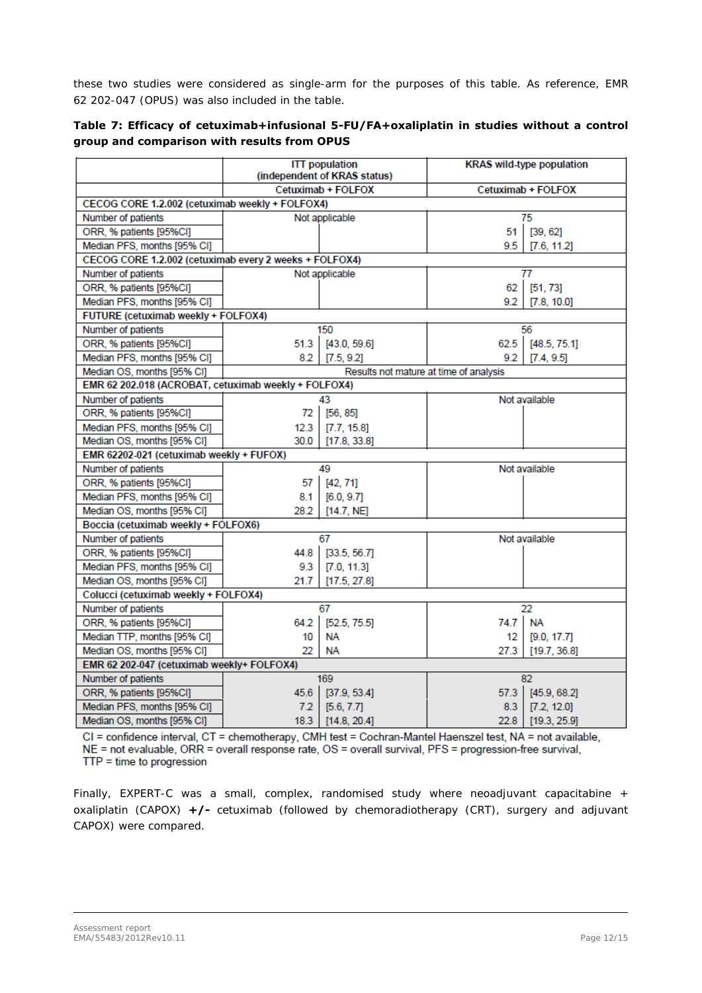these two studies were considered as single-arm for the purposes of this table. As reference, EMR 62 202-047 (OPUS) was also included in the table.

|  | Table 7: Efficacy of cetuximab+infusional 5-FU/FA+oxaliplatin in studies without a control |  |  |  |
|--|--------------------------------------------------------------------------------------------|--|--|--|
|  | group and comparison with results from OPUS                                                |  |  |  |

|                                                        |      | <b>ITT</b> population<br>(independent of KRAS status) | <b>KRAS</b> wild-type population       |                    |  |
|--------------------------------------------------------|------|-------------------------------------------------------|----------------------------------------|--------------------|--|
|                                                        |      | Cetuximab + FOLFOX                                    |                                        | Cetuximab + FOLFOX |  |
| CECOG CORE 1.2.002 (cetuximab weekly + FOLFOX4)        |      |                                                       |                                        |                    |  |
| Number of patients                                     |      | Not applicable                                        |                                        | 75                 |  |
| ORR, % patients [95%CI]                                |      |                                                       | 51                                     | [39, 62]           |  |
| Median PFS, months [95% CI]                            |      |                                                       | 9.5                                    | [7.6, 11.2]        |  |
| CECOG CORE 1.2.002 (cetuximab every 2 weeks + FOLFOX4) |      |                                                       |                                        |                    |  |
| Number of patients                                     |      | Not applicable                                        |                                        | 77                 |  |
| ORR, % patients [95%CI]                                |      |                                                       | 62                                     | [51, 73]           |  |
| Median PFS, months [95% CI]                            |      |                                                       | 9.2                                    | [7.8, 10.0]        |  |
| FUTURE (cetuximab weekly + FOLFOX4)                    |      |                                                       |                                        |                    |  |
| Number of patients                                     |      | 150                                                   |                                        | 56                 |  |
| ORR, % patients [95%CI]                                | 51.3 | [43.0, 59.6]                                          |                                        | 62.5 [48.5, 75.1]  |  |
| Median PFS, months [95% CI]                            | 8.2  | [7.5, 9.2]                                            | 9.2                                    | [7.4, 9.5]         |  |
| Median OS, months [95% CI]                             |      |                                                       | Results not mature at time of analysis |                    |  |
| EMR 62 202.018 (ACROBAT, cetuximab weekly + FOLFOX4)   |      |                                                       |                                        |                    |  |
| Number of patients                                     |      | 43                                                    |                                        | Not available      |  |
| ORR, % patients [95%CI]                                | 72   | [56, 85]                                              |                                        |                    |  |
| Median PFS, months [95% CI]                            | 12.3 | [T.7, 15.8]                                           |                                        |                    |  |
| Median OS, months [95% CI]                             | 30.0 | [17.8, 33.8]                                          |                                        |                    |  |
| EMR 62202-021 (cetuximab weekly + FUFOX)               |      |                                                       |                                        |                    |  |
| Number of patients                                     |      | 49                                                    |                                        | Not available      |  |
| ORR, % patients [95%CI]                                | 57   | [42, 71]                                              |                                        |                    |  |
| Median PFS, months [95% CI]                            | 8.1  | [6.0, 9.7]                                            |                                        |                    |  |
| Median OS, months [95% CI]                             | 28.2 | [14.7, NE]                                            |                                        |                    |  |
| Boccia (cetuximab weekly + FOLFOX6)                    |      |                                                       |                                        |                    |  |
| Number of patients                                     |      | 67                                                    |                                        | Not available      |  |
| ORR, % patients [95%CI]                                | 44.8 | [33.5, 56.7]                                          |                                        |                    |  |
| Median PFS, months [95% CI]                            | 9.3  | [7.0, 11.3]                                           |                                        |                    |  |
| Median OS, months [95% CI]                             | 21.7 | [17.5, 27.8]                                          |                                        |                    |  |
| Colucci (cetuximab weekly + FOLFOX4)                   |      |                                                       |                                        |                    |  |
| Number of patients                                     |      | 67                                                    |                                        | 22                 |  |
| ORR, % patients [95%CI]                                | 64.2 | [52.5, 75.5]                                          | 74.7 NA                                |                    |  |
| Median TTP, months [95% CI]                            | 10   | <b>NA</b>                                             | $12-12$                                | [9.0, 17.7]        |  |
| Median OS, months [95% CI]                             | 22   | NΑ                                                    | 27.3                                   | [19.7, 36.8]       |  |
| EMR 62 202-047 (cetuximab weekly+ FOLFOX4)             |      |                                                       |                                        |                    |  |
| Number of patients                                     |      | 169                                                   |                                        | 82                 |  |
| ORR, % patients [95%CI]                                | 45.6 | [37.9, 53.4]                                          | 57.3                                   | [45.9, 68.2]       |  |
| Median PFS, months [95% CI]                            | 7.2  | [5.6, 7.7]                                            | 8.3                                    | [7.2, 12.0]        |  |
| Median OS, months [95% CI]                             | 18.3 | [14.8, 20.4]                                          | 22.8                                   | [19.3, 25.9]       |  |

CI = confidence interval, CT = chemotherapy, CMH test = Cochran-Mantel Haenszel test, NA = not available, NE = not evaluable, ORR = overall response rate, OS = overall survival, PFS = progression-free survival,  $TTP = time to progression$ 

Finally, EXPERT-C was a small, complex, randomised study where neoadjuvant capacitabine + oxaliplatin (CAPOX) **+/-** cetuximab (followed by chemoradiotherapy (CRT), surgery and adjuvant CAPOX) were compared.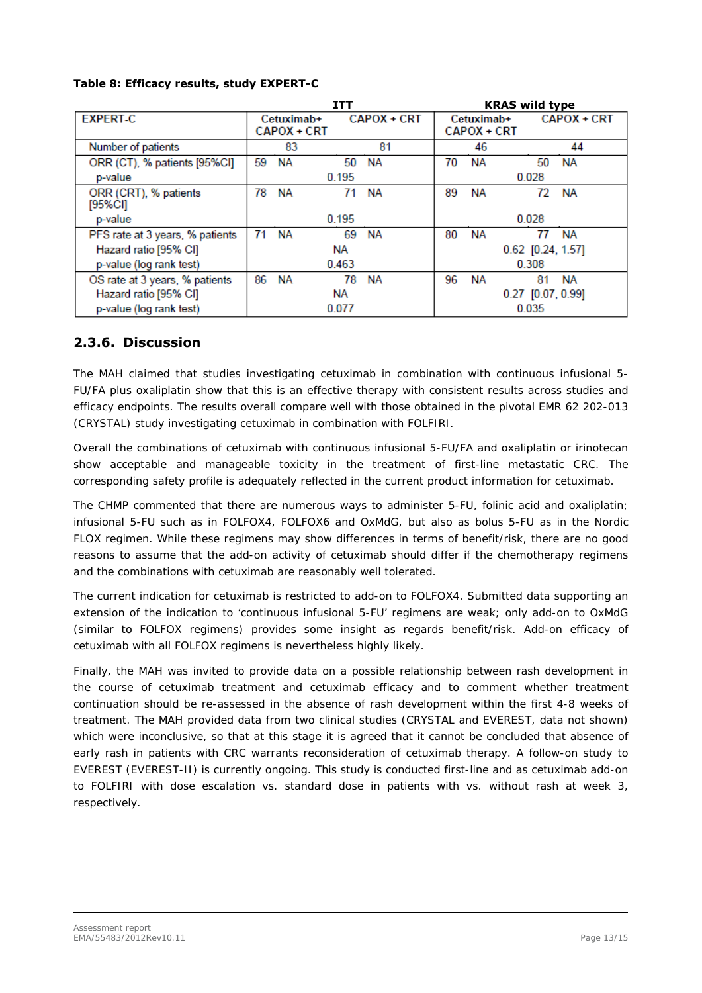|  |  | Table 8: Efficacy results, study EXPERT-C |
|--|--|-------------------------------------------|
|--|--|-------------------------------------------|

|                                  | <b>ITT</b>                |                                  |       | <b>KRAS wild type</b> |                                  |           |                     |             |  |
|----------------------------------|---------------------------|----------------------------------|-------|-----------------------|----------------------------------|-----------|---------------------|-------------|--|
| <b>EXPERT-C</b>                  |                           | Cetuximab+<br><b>CAPOX + CRT</b> |       | CAPOX + CRT           | Cetuximab+<br><b>CAPOX + CRT</b> |           |                     | CAPOX + CRT |  |
|                                  |                           |                                  |       |                       |                                  |           |                     |             |  |
| Number of patients               |                           | 83                               |       | 81                    |                                  | 46        |                     | 44          |  |
| ORR (CT), % patients [95%CI]     | 59                        | <b>NA</b>                        | 50    | NA                    | 70                               | <b>NA</b> | 50                  | <b>NA</b>   |  |
| p-value                          | 0.195                     |                                  |       | 0.028                 |                                  |           |                     |             |  |
| ORR (CRT), % patients<br>[95%CI] | 78                        | NА                               | 71    | NА                    | 89                               | NА        | 72                  | ΝA          |  |
| p-value                          | 0.195                     |                                  |       |                       | 0.028                            |           |                     |             |  |
| PFS rate at 3 years, % patients  | 71                        | <b>NA</b>                        | 69    | <b>NA</b>             | 80                               | <b>NA</b> | 77                  | <b>NA</b>   |  |
| Hazard ratio [95% CI]            |                           |                                  | NА    |                       |                                  |           | $0.62$ [0.24, 1.57] |             |  |
| p-value (log rank test)          | 0.463<br>0.308            |                                  |       |                       |                                  |           |                     |             |  |
| OS rate at 3 years, % patients   | 86                        | NA                               | 78    | <b>NA</b>             | 96                               | <b>NA</b> | 81                  | ΝA          |  |
| Hazard ratio [95% CI]            | NА<br>$0.27$ [0.07, 0.99] |                                  |       |                       |                                  |           |                     |             |  |
| p-value (log rank test)          |                           |                                  | 0.077 |                       | 0.035                            |           |                     |             |  |

## **2.3.6. Discussion**

The MAH claimed that studies investigating cetuximab in combination with continuous infusional 5- FU/FA plus oxaliplatin show that this is an effective therapy with consistent results across studies and efficacy endpoints. The results overall compare well with those obtained in the pivotal EMR 62 202-013 (CRYSTAL) study investigating cetuximab in combination with FOLFIRI.

Overall the combinations of cetuximab with continuous infusional 5-FU/FA and oxaliplatin or irinotecan show acceptable and manageable toxicity in the treatment of first-line metastatic CRC. The corresponding safety profile is adequately reflected in the current product information for cetuximab.

The CHMP commented that there are numerous ways to administer 5-FU, folinic acid and oxaliplatin; infusional 5-FU such as in FOLFOX4, FOLFOX6 and OxMdG, but also as bolus 5-FU as in the Nordic FLOX regimen. While these regimens may show differences in terms of benefit/risk, there are no good reasons to assume that the add-on activity of cetuximab should differ if the chemotherapy regimens and the combinations with cetuximab are reasonably well tolerated.

The current indication for cetuximab is restricted to add-on to FOLFOX4. Submitted data supporting an extension of the indication to 'continuous infusional 5-FU' regimens are weak; only add-on to OxMdG (similar to FOLFOX regimens) provides some insight as regards benefit/risk. Add-on efficacy of cetuximab with all FOLFOX regimens is nevertheless highly likely.

Finally, the MAH was invited to provide data on a possible relationship between rash development in the course of cetuximab treatment and cetuximab efficacy and to comment whether treatment continuation should be re-assessed in the absence of rash development within the first 4-8 weeks of treatment. The MAH provided data from two clinical studies (CRYSTAL and EVEREST, data not shown) which were inconclusive, so that at this stage it is agreed that it cannot be concluded that absence of early rash in patients with CRC warrants reconsideration of cetuximab therapy. A follow-on study to EVEREST (EVEREST-II) is currently ongoing. This study is conducted first-line and as cetuximab add-on to FOLFIRI with dose escalation vs. standard dose in patients with vs. without rash at week 3, respectively.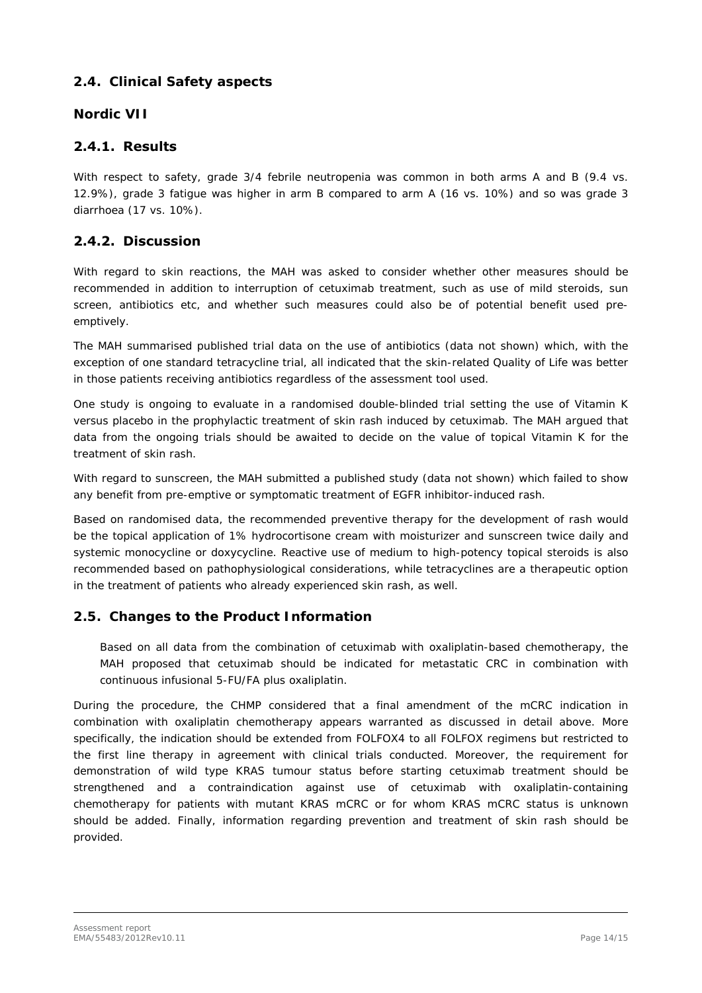## *2.4. Clinical Safety aspects*

#### *Nordic VII*

## **2.4.1. Results**

With respect to safety, grade 3/4 febrile neutropenia was common in both arms A and B (9.4 vs.) 12.9%), grade 3 fatigue was higher in arm B compared to arm A (16 vs. 10%) and so was grade 3 diarrhoea (17 vs. 10%).

## **2.4.2. Discussion**

With regard to skin reactions, the MAH was asked to consider whether other measures should be recommended in addition to interruption of cetuximab treatment, such as use of mild steroids, sun screen, antibiotics etc, and whether such measures could also be of potential benefit used preemptively.

The MAH summarised published trial data on the use of antibiotics (data not shown) which, with the exception of one standard tetracycline trial, all indicated that the skin-related Quality of Life was better in those patients receiving antibiotics regardless of the assessment tool used.

One study is ongoing to evaluate in a randomised double-blinded trial setting the use of Vitamin K versus placebo in the prophylactic treatment of skin rash induced by cetuximab. The MAH argued that data from the ongoing trials should be awaited to decide on the value of topical Vitamin K for the treatment of skin rash.

With regard to sunscreen, the MAH submitted a published study (data not shown) which failed to show any benefit from pre-emptive or symptomatic treatment of EGFR inhibitor-induced rash.

Based on randomised data, the recommended preventive therapy for the development of rash would be the topical application of 1% hydrocortisone cream with moisturizer and sunscreen twice daily and systemic monocycline or doxycycline. Reactive use of medium to high-potency topical steroids is also recommended based on pathophysiological considerations, while tetracyclines are a therapeutic option in the treatment of patients who already experienced skin rash, as well.

### *2.5. Changes to the Product Information*

Based on all data from the combination of cetuximab with oxaliplatin-based chemotherapy, the MAH proposed that cetuximab should be indicated for metastatic CRC in combination with continuous infusional 5-FU/FA plus oxaliplatin.

During the procedure, the CHMP considered that a final amendment of the mCRC indication in combination with oxaliplatin chemotherapy appears warranted as discussed in detail above. More specifically, the indication should be extended from FOLFOX4 to all FOLFOX regimens but restricted to the first line therapy in agreement with clinical trials conducted. Moreover, the requirement for demonstration of wild type KRAS tumour status before starting cetuximab treatment should be strengthened and a contraindication against use of cetuximab with oxaliplatin-containing chemotherapy for patients with mutant *KRAS* mCRC or for whom *KRAS* mCRC status is unknown should be added. Finally, information regarding prevention and treatment of skin rash should be provided.